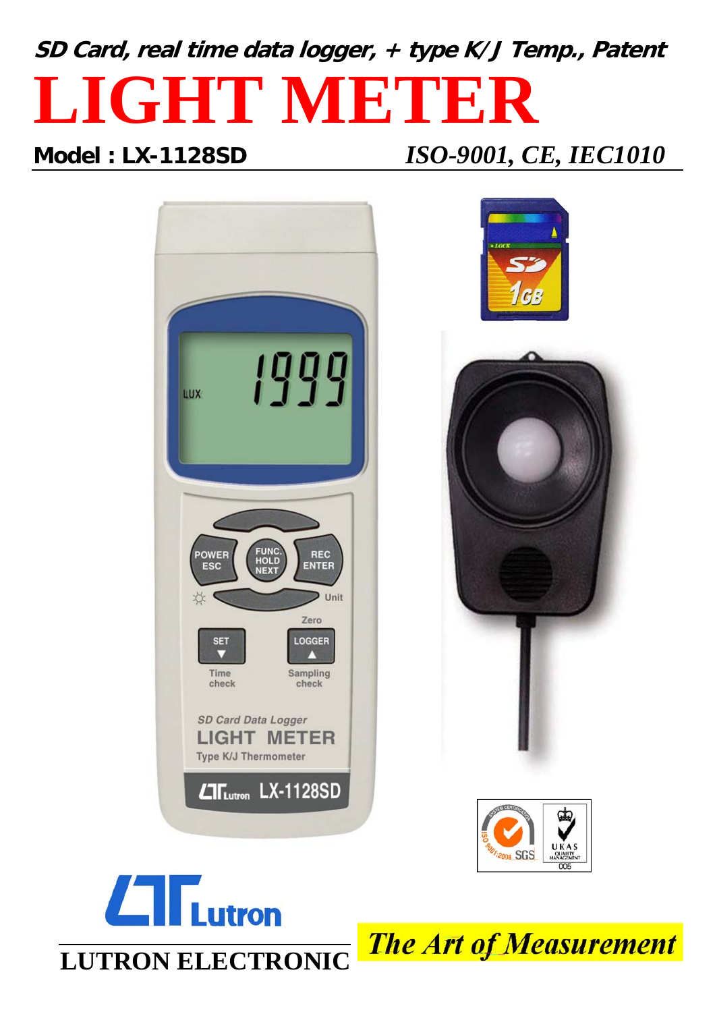# **SD Card, real time data logger, + type K/J Temp., Patent LIGHT METER**

## **Model : LX-1128SD** *ISO-9001, CE, IEC1010*





**The Art of Measurement**